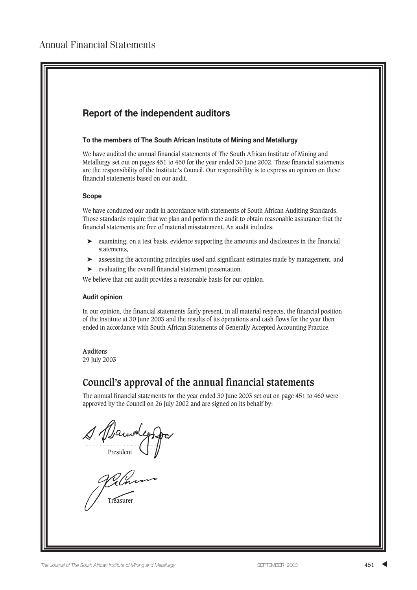## **Report of the independent auditors**

#### **To the members of The South African Institute of Mining and Metallurgy**

We have audited the annual financial statements of The South African Institute of Mining and Metallurgy set out on pages 451 to 460 for the year ended 30 June 2002. These financial statements are the responsibility of the Institute's Council. Our responsibility is to express an opinion on these financial statements based on our audit.

#### **Scope**

We have conducted our audit in accordance with statements of South African Auditing Standards. Those standards require that we plan and perform the audit to obtain reasonable assurance that the financial statements are free of material misstatement. An audit includes:

- ➤ examining, on a test basis, evidence supporting the amounts and disclosures in the financial statements,
- ➤ assessing the accounting principles used and significant estimates made by management, and
- ➤ evaluating the overall financial statement presentation.

We believe that our audit provides a reasonable basis for our opinion.

#### **Audit opinion**

In our opinion, the financial statements fairly present, in all material respects, the financial position of the Institute at 30 June 2003 and the results of its operations and cash flows for the year then ended in accordance with South African Statements of Generally Accepted Accounting Practice.

#### **Auditors**

29 July 2003

# **Council's approval of the annual financial statements**

The annual financial statements for the year ended 30 June 2003 set out on page 451 to 460 were approved by the Council on 26 July 2002 and are signed on its behalf by:

1. Danvolende

Vilnon

Treasurer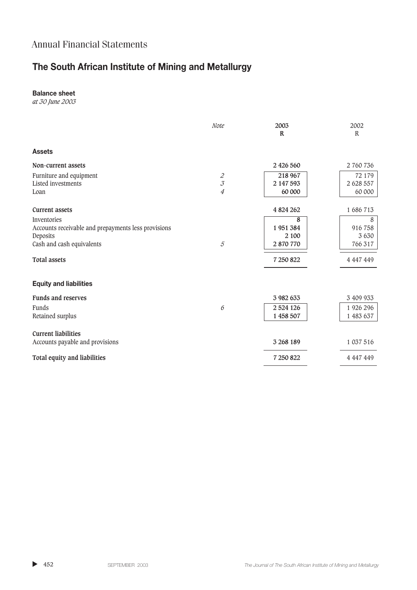# **The South African Institute of Mining and Metallurgy**

### **Balance sheet**

*at 30 June 2003*

|                                                     | Note                        | 2003<br>$\mathbf R$ | 2002<br>$\mathbb{R}$ |
|-----------------------------------------------------|-----------------------------|---------------------|----------------------|
| <b>Assets</b>                                       |                             |                     |                      |
| Non-current assets                                  |                             | 2 426 560           | 2 760 736            |
| Furniture and equipment                             | $\mathcal Z$                | 218 967             | 72 179               |
| Listed investments                                  | $\mathcal{J}_{\mathcal{J}}$ | 2 147 593           | 2 628 557            |
| Loan                                                | $\overline{4}$              | 60 000              | 60 000               |
| <b>Current assets</b>                               |                             | 4 824 262           | 1 686 713            |
| Inventories                                         |                             | 8                   | 8                    |
| Accounts receivable and prepayments less provisions |                             | 1951384             | 916 758              |
| Deposits                                            |                             | 2 100               | 3 6 3 0              |
| Cash and cash equivalents                           | $\overline{5}$              | 2 870 770           | 766 317              |
| <b>Total assets</b>                                 |                             | 7 250 822           | 4 447 449            |
| <b>Equity and liabilities</b>                       |                             |                     |                      |
| <b>Funds and reserves</b>                           |                             | 3 982 633           | 3 409 933            |
| Funds                                               | 6                           | 2 5 24 1 26         | 1 926 296            |
| Retained surplus                                    |                             | 1 458 507           | 1 483 637            |
| <b>Current liabilities</b>                          |                             |                     |                      |
| Accounts payable and provisions                     |                             | 3 268 189           | 1 037 516            |
| Total equity and liabilities                        |                             | 7 250 822           | 4 447 449            |
|                                                     |                             |                     |                      |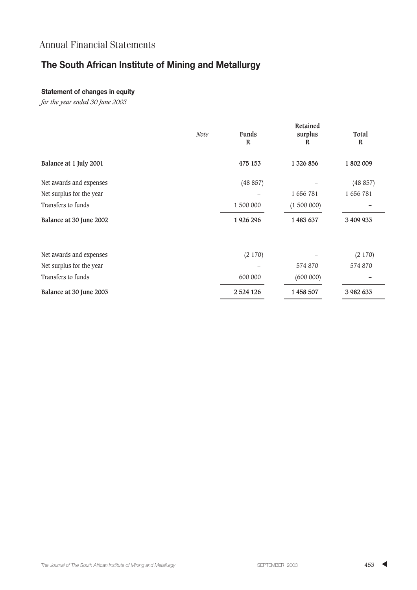# **The South African Institute of Mining and Metallurgy**

### **Statement of changes in equity**

*for the year ended 30 June 2003*

|                          | Note | <b>Funds</b><br>R | Retained<br>surplus<br>R | Total<br>$\mathbb{R}$ |
|--------------------------|------|-------------------|--------------------------|-----------------------|
| Balance at 1 July 2001   |      | 475 153           | 1 326 856                | 1802009               |
| Net awards and expenses  |      | (48 857)          |                          | (48857)               |
| Net surplus for the year |      |                   | 1 656 781                | 1656781               |
| Transfers to funds       |      | 1 500 000         | (1500000)                |                       |
| Balance at 30 June 2002  |      | 1926 296          | 1 483 637                | 3 409 933             |
| Net awards and expenses  |      | (2170)            |                          | (2170)                |
| Net surplus for the year |      |                   | 574 870                  | 574 870               |
| Transfers to funds       |      | 600 000           | (600000)                 |                       |
| Balance at 30 June 2003  |      | 2 5 24 1 26       | 1 458 507                | 3 982 633             |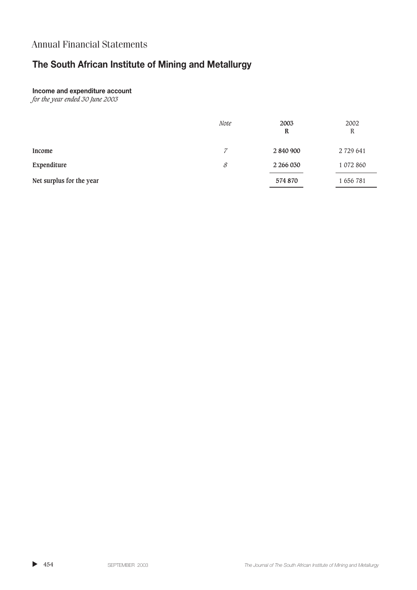# **The South African Institute of Mining and Metallurgy**

#### **Income and expenditure account**

*for the year ended 30 June 2003*

|                          | <i>Note</i> | 2003<br>R | 2002<br>$\mathbb R$ |
|--------------------------|-------------|-----------|---------------------|
| Income                   | 7           | 2 840 900 | 2 729 641           |
| Expenditure              | 8           | 2 266 030 | 1 072 860           |
| Net surplus for the year |             | 574 870   | 1 656 781           |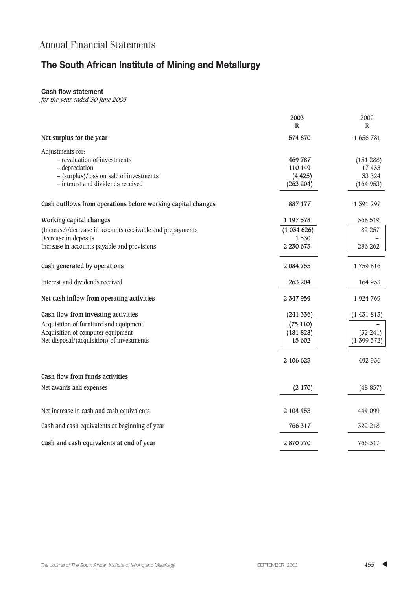# **The South African Institute of Mining and Metallurgy**

#### **Cash flow statement**

*for the year ended 30 June 2003*

|                                                                                                                                                    | 2003<br>R                                 | 2002<br>R                                  |
|----------------------------------------------------------------------------------------------------------------------------------------------------|-------------------------------------------|--------------------------------------------|
| Net surplus for the year                                                                                                                           | 574 870                                   | 1 656 781                                  |
| Adjustments for:<br>- revaluation of investments<br>- depreciation<br>- (surplus)/loss on sale of investments<br>- interest and dividends received | 469 787<br>110 149<br>(4425)<br>(263 204) | (151 288)<br>17 433<br>33 3 24<br>(164953) |
| Cash outflows from operations before working capital changes                                                                                       | 887177                                    | 1 391 297                                  |
| Working capital changes<br>(Increase)/decrease in accounts receivable and prepayments<br>Decrease in deposits                                      | 1 197 578<br>(1034626)<br>1530            | 368 519<br>82 257                          |
| Increase in accounts payable and provisions                                                                                                        | 2 230 673                                 | 286 262                                    |
| Cash generated by operations                                                                                                                       | 2 084 755                                 | 1759816                                    |
| Interest and dividends received                                                                                                                    | 263 204                                   | 164 953                                    |
| Net cash inflow from operating activities                                                                                                          | 2 347 959                                 | 1924769                                    |
| Cash flow from investing activities                                                                                                                | (241336)                                  | (1431813)                                  |
| Acquisition of furniture and equipment<br>Acquisition of computer equipment<br>Net disposal/(acquisition) of investments                           | (75110)<br>(181 828)<br>15 602            | $(32\ 241)$<br>(1399572)                   |
|                                                                                                                                                    | 2 106 623                                 | 492 956                                    |
| Cash flow from funds activities                                                                                                                    |                                           |                                            |
| Net awards and expenses                                                                                                                            | (2170)                                    | (48857)                                    |
| Net increase in cash and cash equivalents                                                                                                          | 2 104 453                                 | 444 099                                    |
| Cash and cash equivalents at beginning of year                                                                                                     | 766 317                                   | 322 218                                    |
| Cash and cash equivalents at end of year                                                                                                           | 2 870 770                                 | 766 317                                    |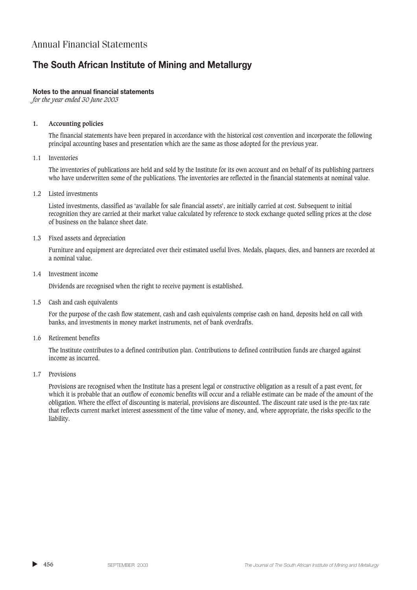# **The South African Institute of Mining and Metallurgy**

### **Notes to the annual financial statements**

*for the year ended 30 June 2003*

### **1. Accounting policies**

The financial statements have been prepared in accordance with the historical cost convention and incorporate the following principal accounting bases and presentation which are the same as those adopted for the previous year.

### 1.1 Inventories

The inventories of publications are held and sold by the Institute for its own account and on behalf of its publishing partners who have underwritten some of the publications. The inventories are reflected in the financial statements at nominal value.

1.2 Listed investments

Listed investments, classified as 'available for sale financial assets', are initially carried at cost. Subsequent to initial recognition they are carried at their market value calculated by reference to stock exchange quoted selling prices at the close of business on the balance sheet date.

#### 1.3 Fixed assets and depreciation

Furniture and equipment are depreciated over their estimated useful lives. Medals, plaques, dies, and banners are recorded at a nominal value.

1.4 Investment income

Dividends are recognised when the right to receive payment is established.

1.5 Cash and cash equivalents

For the purpose of the cash flow statement, cash and cash equivalents comprise cash on hand, deposits held on call with banks, and investments in money market instruments, net of bank overdrafts.

1.6 Retirement benefits

The Institute contributes to a defined contribution plan. Contributions to defined contribution funds are charged against income as incurred.

1.7 Provisions

Provisions are recognised when the Institute has a present legal or constructive obligation as a result of a past event, for which it is probable that an outflow of economic benefits will occur and a reliable estimate can be made of the amount of the obligation. Where the effect of discounting is material, provisions are discounted. The discount rate used is the pre-tax rate that reflects current market interest assessment of the time value of money, and, where appropriate, the risks specific to the liability.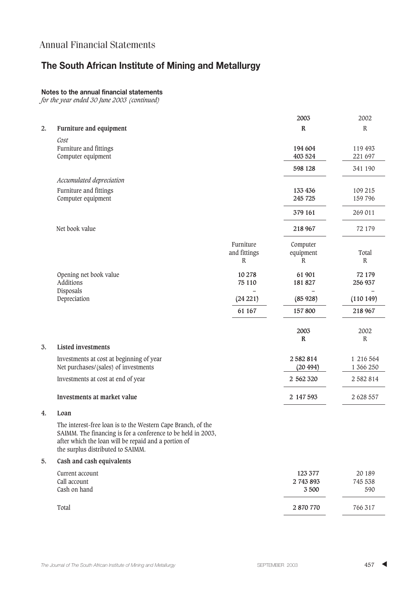# **The South African Institute of Mining and Metallurgy**

### **Notes to the annual financial statements**

*for the year ended 30 June 2003 (continued)*

|    |                                                                                                                                                                                                                           |                                | 2003                         | 2002                     |
|----|---------------------------------------------------------------------------------------------------------------------------------------------------------------------------------------------------------------------------|--------------------------------|------------------------------|--------------------------|
| 2. | Furniture and equipment                                                                                                                                                                                                   |                                | $\mathbb{R}$                 | $\mathbb R$              |
|    | Cost<br>Furniture and fittings<br>Computer equipment                                                                                                                                                                      |                                | 194 604<br>403 524           | 119 493<br>221 697       |
|    |                                                                                                                                                                                                                           |                                | 598 128                      | 341 190                  |
|    | Accumulated depreciation                                                                                                                                                                                                  |                                |                              |                          |
|    | Furniture and fittings<br>Computer equipment                                                                                                                                                                              |                                | 133 436<br>245 725           | 109 215<br>159 796       |
|    |                                                                                                                                                                                                                           |                                | 379 161                      | 269 011                  |
|    | Net book value                                                                                                                                                                                                            |                                | 218 967                      | 72 179                   |
|    |                                                                                                                                                                                                                           | Furniture<br>and fittings<br>R | Computer<br>equipment<br>R   | Total<br>$\mathbb R$     |
|    | Opening net book value<br>Additions                                                                                                                                                                                       | 10 278<br>75 110               | 61 901<br>181 827            | 72 179<br>256 937        |
|    | Disposals<br>Depreciation                                                                                                                                                                                                 | (24 221)                       | (85928)                      | (110149)                 |
|    |                                                                                                                                                                                                                           | 61 167                         | 157800                       | 218 967                  |
|    |                                                                                                                                                                                                                           |                                | 2003<br>$\mathbb R$          | 2002<br>${\mathbf R}$    |
| 3. | <b>Listed investments</b>                                                                                                                                                                                                 |                                |                              |                          |
|    | Investments at cost at beginning of year<br>Net purchases/(sales) of investments                                                                                                                                          |                                | 2582814<br>(20 494)          | 1 216 564<br>1 366 250   |
|    | Investments at cost at end of year                                                                                                                                                                                        |                                | 2 562 320                    | 2 582 814                |
|    | Investments at market value                                                                                                                                                                                               |                                | 2 147 593                    | 2 628 557                |
| 4. | Loan                                                                                                                                                                                                                      |                                |                              |                          |
|    | The interest-free loan is to the Western Cape Branch, of the<br>SAIMM. The financing is for a conference to be held in 2003,<br>after which the loan will be repaid and a portion of<br>the surplus distributed to SAIMM. |                                |                              |                          |
| 5. | Cash and cash equivalents                                                                                                                                                                                                 |                                |                              |                          |
|    | Current account<br>Call account<br>Cash on hand                                                                                                                                                                           |                                | 123 377<br>2 743 893<br>3500 | 20 189<br>745 538<br>590 |
|    | Total                                                                                                                                                                                                                     |                                | 2 870 770                    | 766 317                  |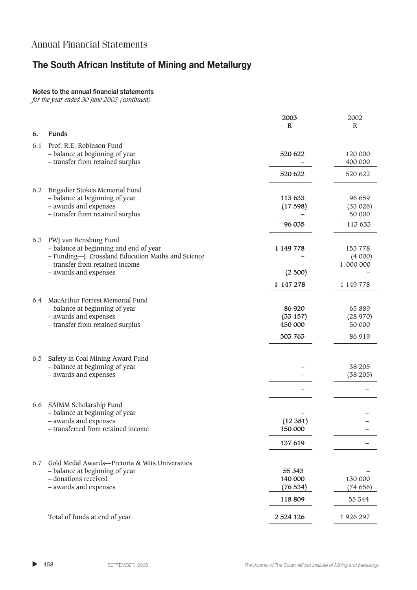# **The South African Institute of Mining and Metallurgy**

### **Notes to the annual financial statements**

*for the year ended 30 June 2003 (continued)*

|     |                                                                     | 2003         | 2002               |
|-----|---------------------------------------------------------------------|--------------|--------------------|
| 6.  | <b>Funds</b>                                                        | $\mathbb{R}$ | $\mathbb{R}$       |
|     |                                                                     |              |                    |
| 6.1 | Prof. R.E. Robinson Fund                                            |              |                    |
|     | - balance at beginning of year<br>- transfer from retained surplus  | 520 622      | 120 000<br>400 000 |
|     |                                                                     |              |                    |
|     |                                                                     | 520 622      | 520 622            |
|     | 6.2 Brigadier Stokes Memorial Fund                                  |              |                    |
|     | - balance at beginning of year                                      | 113 633      | 96 659             |
|     | - awards and expenses                                               | (17598)      | (33 026)           |
|     | - transfer from retained surplus                                    |              | 50 000             |
|     |                                                                     | 96 035       | 113 633            |
|     |                                                                     |              |                    |
|     | 6.3 PWJ van Rensburg Fund<br>- balance at beginning and end of year | 1 149 778    | 153 778            |
|     | - Funding-J. Crossland Education Maths and Science                  |              | (4000)             |
|     | - transfer from retained income                                     |              | 1 000 000          |
|     | - awards and expenses                                               | (2500)       |                    |
|     |                                                                     | 1 147 278    | 1 149 778          |
|     |                                                                     |              |                    |
| 6.4 | MacArthur Forrest Memorial Fund<br>- balance at beginning of year   | 86 920       | 65 889             |
|     | - awards and expenses                                               | (33157)      | (28970)            |
|     | - transfer from retained surplus                                    | 450 000      | 50 000             |
|     |                                                                     | 503 763      | 86 919             |
|     |                                                                     |              |                    |
| 6.5 | Safety in Coal Mining Award Fund                                    |              |                    |
|     | - balance at beginning of year                                      |              | 38 205             |
|     | - awards and expenses                                               |              | (38 205)           |
|     |                                                                     |              |                    |
|     |                                                                     |              |                    |
| 6.6 | SAIMM Scholarship Fund<br>- balance at beginning of year            |              |                    |
|     | - awards and expenses                                               | (12 381)     |                    |
|     | transferred from retained income                                    | 150 000      |                    |
|     |                                                                     | 137 619      |                    |
|     |                                                                     |              |                    |
| 6.7 | Gold Medal Awards-Pretoria & Wits Universities                      |              |                    |
|     | - balance at beginning of year                                      | 55 343       |                    |
|     | - donations received                                                | 140 000      | 130 000            |
|     | - awards and expenses                                               | (76534)      | (74656)            |
|     |                                                                     | 118 809      | 55 344             |
|     | Total of funds at end of year                                       | 2 5 24 1 26  | 1 926 297          |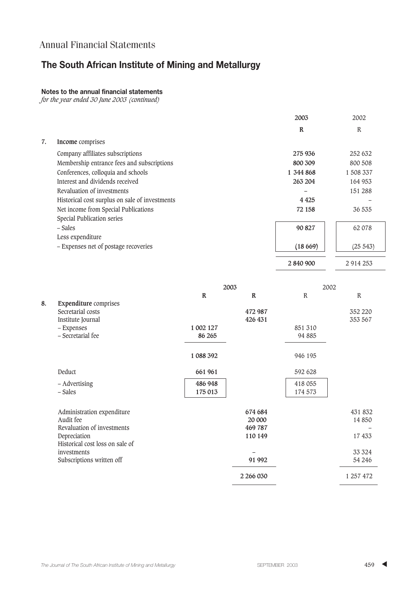# **The South African Institute of Mining and Metallurgy**

### **Notes to the annual financial statements**

*for the year ended 30 June 2003 (continued)*

|    |                                                | 2003        | 2002         |
|----|------------------------------------------------|-------------|--------------|
|    |                                                | $\mathbf R$ | $\mathbb{R}$ |
| 7. | Income comprises                               |             |              |
|    | Company affiliates subscriptions               | 275 936     | 252 632      |
|    | Membership entrance fees and subscriptions     | 800 309     | 800 508      |
|    | Conferences, colloquia and schools             | 1 344 868   | 1 508 337    |
|    | Interest and dividends received                | 263 204     | 164 953      |
|    | Revaluation of investments                     |             | 151 288      |
|    | Historical cost surplus on sale of investments | 4 4 2 5     |              |
|    | Net income from Special Publications           | 72 158      | 36 535       |
|    | Special Publication series                     |             |              |
|    | – Sales                                        | 90 827      | 62 078       |
|    | Less expenditure                               |             |              |
|    | - Expenses net of postage recoveries           | (18669)     | (25543)      |
|    |                                                | 2 840 900   | 2 9 14 2 5 3 |

|    |                                 | 2003        |              | 2002         |             |
|----|---------------------------------|-------------|--------------|--------------|-------------|
|    |                                 | $\mathbb R$ | $\mathbb{R}$ | $\mathbb{R}$ | $\mathbb R$ |
| 8. | <b>Expenditure</b> comprises    |             |              |              |             |
|    | Secretarial costs               |             | 472 987      |              | 352 220     |
|    | Institute Journal               |             | 426 431      |              | 353 567     |
|    | - Expenses                      | 1 002 127   |              | 851 310      |             |
|    | - Secretarial fee               | 86 265      |              | 94 885       |             |
|    |                                 | 1 088 392   |              | 946 195      |             |
|    | Deduct                          | 661 961     |              | 592 628      |             |
|    | - Advertising                   | 486 948     |              | 418 055      |             |
|    | – Sales                         | 175 013     |              | 174 573      |             |
|    | Administration expenditure      |             | 674 684      |              | 431 832     |
|    | Audit fee                       |             | 20 000       |              | 14 850      |
|    | Revaluation of investments      |             | 469 787      |              |             |
|    | Depreciation                    |             | 110 149      |              | 17 433      |
|    | Historical cost loss on sale of |             |              |              |             |
|    | investments                     |             |              |              | 33 3 24     |
|    | Subscriptions written off       |             | 91 992       |              | 54 24 6     |
|    |                                 |             | 2 266 030    |              | 1 257 472   |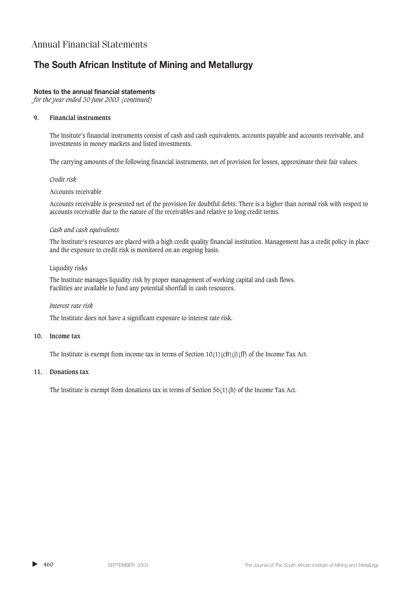# **The South African Institute of Mining and Metallurgy**

### **Notes to the annual financial statements**

*for the year ended 30 June 2003 (continued)*

### **9. Financial instruments**

The Insitute's financial instruments consist of cash and cash equivalents, accounts payable and accounts receivable, and investments in money markets and listed investments.

The carrying amounts of the following financial instruments, net of provision for losses, approximate their fair values:

### *Credit risk*

### Accounts receivable

Accounts receivable is presented net of the provision for doubtful debts. There is a higher than normal risk with respect to accounts receivable due to the nature of the receivables and relative to long credit terms.

### *Cash and cash equivalents*

The Institute's resources are placed with a high credit quality financial institution. Management has a credit policy in place and the exposure to credit risk is monitored on an ongoing basis.

#### Liquidity risks

The Institute manages liquidity risk by proper management of working capital and cash flows. Facilities are available to fund any potential shortfall in cash resources.

#### *Interest rate risk*

The Institute does not have a significant exposure to interest rate risk.

#### **10. Income tax**

The Institute is exempt from income tax in terms of Section  $10(1)(c)$ (i)(f) of the Income Tax Act.

### **11. Donations tax**

The Institute is exempt from donations tax in terms of Section 56(1)(h) of the Income Tax Act.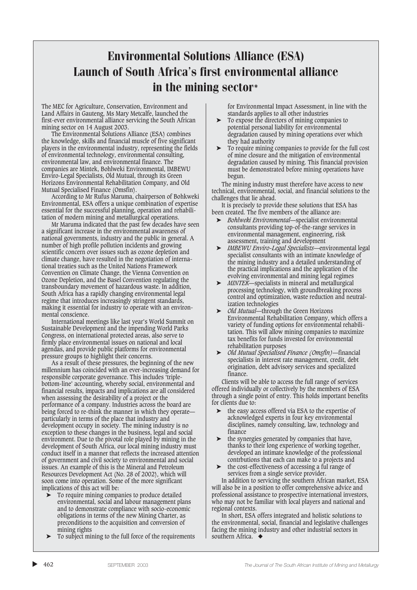# Environmental Solutions Alliance (ESA) Launch of South Africa's first environmental alliance in the mining sector\*

The MEC for Agriculture, Conservation, Environment and Land Affairs in Gauteng, Ms Mary Metcalfe, launched the first-ever environmental alliance servicing the South African mining sector on 14 August 2003.

The Environmental Solutions Alliance (ESA) combines the knowledge, skills and financial muscle of five significant players in the environmental industry, representing the fields of environmental technology, environmental consulting, environmental law, and environmental finance. The companies are Mintek, Bohlweki Environmental, IMBEWU Enviro-Legal Specialists, Old Mutual, through its Green Horizons Environmental Rehabilitation Company, and Old Mutual Specialised Finance (Omsfin).

According to Mr Rufus Maruma, chairperson of Bohkweki Environmental, ESA offers a unique combination of expertise essential for the successful planning, operation and rehabilitation of modern mining and metallurgical operations.

Mr Maruma indicated that the past few decades have seen a significant increase in the environmental awareness of national governments, industry and the public in general. A number of high profile pollution incidents and growing scientific concern over issues such as ozone depletion and climate change, have resulted in the negotiation of international treaties such as the United Nations Framework Convention on Climate Change, the Vienna Convention on Ozone Depletion, and the Basel Convention regulating the transboundary movement of hazardous waste. In addition, South Africa has a rapidly changing environmental legal regime that introduces increasingly stringent standards, making it essential for industry to operate with an environmental conscience.

International meetings like last year's World Summit on Sustainable Development and the impending World Parks Congress, on international protected areas, also serve to firmly place environmental issues on national and local agendas, and provide public platforms for environmental pressure groups to highlight their concerns.

As a result of these pressures, the beginning of the new millennium has coincided with an ever-increasing demand for responsible corporate governance. This includes 'triplebottom-line' accounting, whereby social, environmental and financial results, impacts and implications are all considered when assessing the desirability of a project or the performance of a company. Industries across the board are being forced to re-think the manner in which they operate particularly in terms of the place that industry and development occupy in society. The mining industry is no exception to these changes in the business, legal and social environment. Due to the pivotal role played by mining in the development of South Africa, our local mining industry must conduct itself in a manner that reflects the increased attention of government and civil society to environmental and social issues. An example of this is the Mineral and Petroleum Resources Development Act (No. 28 of 2002), which will soon come into operation. Some of the more significant implications of this act will be:

- ➤ To require mining companies to produce detailed environmental, social and labour management plans and to demonstrate compliance with socio-economic obligations in terms of the new Mining Charter, as preconditions to the acquisition and conversion of mining rights
- ➤ To subject mining to the full force of the requirements

for Environmental Impact Assessment, in line with the standards applies to all other industries

- ➤ To expose the directors of mining companies to potential personal liability for environmental degradation caused by mining operations over which they had authority
- To require mining companies to provide for the full cost of mine closure and the mitigation of environmental degradation caused by mining. This financial provision must be demonstrated before mining operations have begun.

The mining industry must therefore have access to new technical, environmental, social, and financial solutions to the challenges that lie ahead.

It is precisely to provide these solutions that ESA has been created. The five members of the alliance are:

- ➤ *Bohlweki Environmental*—specialist environmental consultants providing top-of-the-range services in environmental management, engineering, risk assessment, training and development
- ➤ *IMBEWU Enviro-Legal Specialists*—environmental legal specialist consultants with an intimate knowledge of the mining industry and a detailed understanding of the practical implications and the application of the evolving environmental and mining legal regimes
- ➤ *MINTEK*—specialists in mineral and metallurgical processing technology, with groundbreaking process control and optimization, waste reduction and neutralization technologies
- ➤ *Old Mutual*—through the Green Horizons Environmental Rehabilitation Company, which offers a variety of funding options for environmental rehabilitation. This will allow mining companies to maximize tax benefits for funds invested for environmental rehabilitation purposes
- ➤ *Old Mutual Specialised Finance (Omsfin)*—financial specialists in interest rate management, credit, debt origination, debt advisory services and specialized finance.

Clients will be able to access the full range of services offered individually or collectively by the members of ESA through a single point of entry. This holds important benefits for clients due to:

- ➤ the easy access offered via ESA to the expertise of acknowledged experts in four key environmental disciplines, namely consulting, law, technology and finance
- the synergies generated by companies that have. thanks to their long experience of working together, developed an intimate knowledge of the professional contrbutions that each can make to a projects and
- the cost-effectiveness of accessing a ful range of services from a single service provider.

In addition to servicing the southern African market, ESA will also be in a position to offer comprehensive advice and professional assistance to prospective international investors, who may not be familiar with local players and national and regional contexts.

In short, ESA offers integrated and holistic solutions to the environmental, social, financial and legislative challenges facing the mining industry and other industrial sectors in southern Africa. ◆

 $\blacktriangleright$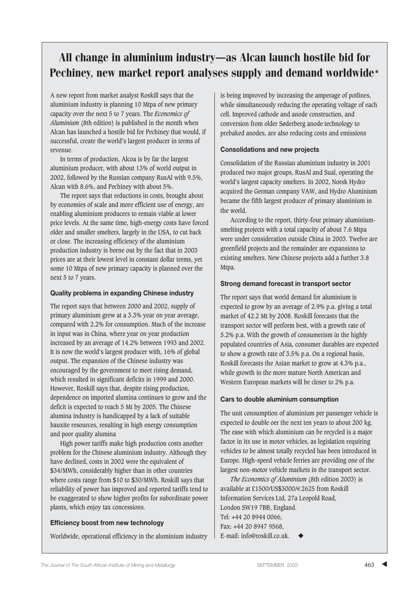# All change in aluminium industry—as Alcan launch hostile bid for Pechiney, new market report analyses supply and demand worldwide\*

A new report from market analyst Roskill says that the aluminium industry is planning 10 Mtpa of new primary capacity over the next 5 to 7 years. The *Economics of Aluminium* (8th edition) is published in the month when Alcan has launched a hostile bid for Pechiney that would, if successful, create the world's largest producer in terms of revenue.

In terms of production, Alcoa is by far the largest aluminium producer, with about 13% of world output in 2002, followed by the Russian company RusAl with 9.5%, Alcan with 8.6%, and Pechiney with about 5%.

The report says that reductions in costs, brought about by economies of scale and more efficient use of energy, are enabling aluminium producers to remain viable at lower price levels. At the same time, high-energy costs have forced older and smaller smelters, largely in the USA, to cut back or close. The increasing efficiency of the aluminium production industry is borne out by the fact that in 2003 prices are at their lowest level in constant dollar terms, yet some 10 Mtpa of new primary capacity is planned over the next 5 to 7 years.

### **Quality problems in expanding Chinese industry**

The report says that between 2000 and 2002, supply of primary aluminium grew at a 3.3% year on year average, compared with 2.2% for consumption. Much of the increase in input was in China, where year on year production increased by an average of 14.2% between 1993 and 2002. It is now the world's largest producer with, 16% of global output. The expansion of the Chinese industry was encouraged by the government to meet rising demand, which resulted in significant deficits in 1999 and 2000. However, Roskill says that, despite rising production, dependence on imported alumina continues to grow and the deficit is expected to reach 5 Mt by 2005. The Chinese alumina industry is handicapped by a lack of suitable bauxite resources, resulting in high energy consumption and poor quality alumina

High power tariffs make high production costs another problem for the Chinese aluminium industry. Although they have declined, costs in 2002 were the equivalent of \$34/MWh, considerably higher than in other countries where costs range from \$10 to \$30/MWh. Roskill says that reliability of power has improved and reported tariffs tend to be exaggerated to show higher profits for subordinate power plants, which enjoy tax concessions.

### **Efficiency boost from new technology**

Worldwide, operational efficiency in the aluminium industry

is being improved by increasing the amperage of potlines, while simultaneously reducing the operating voltage of each cell. Improved cathode and anode construction, and conversion from older Søderberg anode technology to prebaked anodes, are also reducing costs and emissions

### **Consolidations and new projects**

Consolidation of the Russian aluminium industry in 2001 produced two major groups, RusAl and Sual, operating the world's largest capacity smelters. In 2002, Norsk Hydro acquired the German company VAW, and Hydro Aluminium became the fifth largest producer of primary aluminium in the world.

According to the report, thirty-four primary aluminiumsmelting projects with a total capacity of about 7.6 Mtpa were under consideration outside China in 2003. Twelve are greenfield projects and the remainder are expansions to existing smelters. New Chinese projects add a further 3.8 Mtpa.

### **Strong demand forecast in transport sector**

The report says that world demand for aluminium is expected to grow by an average of 2.9% p.a. giving a total market of 42.2 Mt by 2008. Roskill forecasts that the transport sector will perform best, with a growth rate of 5.2% p.a. With the growth of consumerism in the highly populated countries of Asia, consumer durables are expected to show a growth rate of 3.5% p.a. On a regional basis, Roskill forecasts the Asian market to grow at 4.3% p.a., while growth in the more mature North American and Western European markets will be closer to 2% p.a.

#### **Cars to double aluminium consumption**

The unit consumption of aluminium per passenger vehicle is expected to double oer the next ten years to about 200 kg. The ease with which aluminium can be recycled is a major factor in its use in motor vehicles, as legislation requiring vehicles to be almost totally recycled has been introduced in Europe. High-speed vehicle ferries are providing one of the largest non-motor vehicle markets in the transport sector.

*The Economics of Aluminium* (8th edition 2003) is available at £1500/US\$3000/€2625 from Roskill Information Services Ltd, 27a Leopold Road, London SW19 7BB, England. Tel: +44 20 8944 0066, Fax: +44 20 8947 9568, E-mail: info@roskill.co.uk.